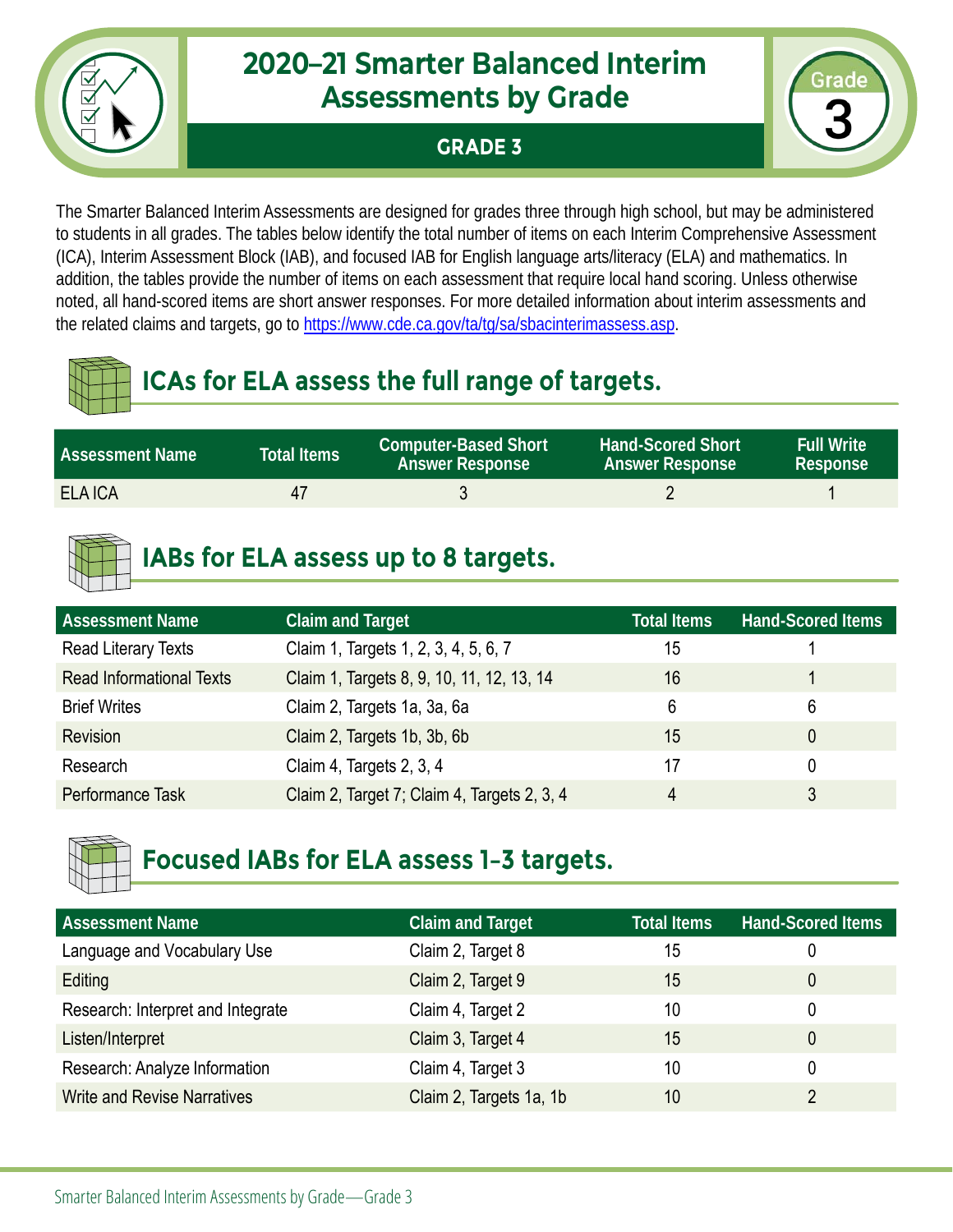

#### **GRADE 3**



The Smarter Balanced Interim Assessments are designed for grades three through high school, but may be administered to students in all grades. The tables below identify the total number of items on each Interim Comprehensive Assessment (ICA), Interim Assessment Block (IAB), and focused IAB for English language arts/literacy (ELA) and mathematics. In addition, the tables provide the number of items on each assessment that require local hand scoring. Unless otherwise noted, all hand-scored items are short answer responses. For more detailed information about interim assessments and the related claims and targets, go to [https://www.cde.ca.gov/ta/tg/sa/sbacinterimassess.asp.](https://www.cde.ca.gov/ta/tg/sa/sbacinterimassess.asp)

# **ICAs for ELA assess the full range of targets.**

| <b>Assessment Name</b> | <b>Total Items</b> | <b>Computer-Based Short</b><br><b>Answer Response</b> | <b>Hand-Scored Short</b><br><b>Answer Response</b> | <b>Full Write</b><br>Response |
|------------------------|--------------------|-------------------------------------------------------|----------------------------------------------------|-------------------------------|
| <b>ELA ICA</b>         |                    |                                                       |                                                    |                               |

# **IABs for ELA assess up to 8 targets.**

| <b>Assessment Name</b>          | <b>Claim and Target</b>                     | Total Items | <b>Hand-Scored Items</b> |
|---------------------------------|---------------------------------------------|-------------|--------------------------|
| Read Literary Texts             | Claim 1, Targets 1, 2, 3, 4, 5, 6, 7        | 15          |                          |
| <b>Read Informational Texts</b> | Claim 1, Targets 8, 9, 10, 11, 12, 13, 14   | 16          |                          |
| <b>Brief Writes</b>             | Claim 2, Targets 1a, 3a, 6a                 | 6           | 6                        |
| Revision                        | Claim 2, Targets 1b, 3b, 6b                 | 15          |                          |
| Research                        | Claim 4, Targets 2, 3, 4                    | 17          |                          |
| Performance Task                | Claim 2, Target 7; Claim 4, Targets 2, 3, 4 | 4           |                          |



| <b>Assessment Name</b>             | <b>Claim and Target</b> | <b>Total Items</b> | <b>Hand-Scored Items</b> |
|------------------------------------|-------------------------|--------------------|--------------------------|
| Language and Vocabulary Use        | Claim 2, Target 8       | 15                 | U                        |
| Editing                            | Claim 2, Target 9       | 15                 | 0                        |
| Research: Interpret and Integrate  | Claim 4, Target 2       | 10                 | 0                        |
| Listen/Interpret                   | Claim 3, Target 4       | 15                 | 0                        |
| Research: Analyze Information      | Claim 4, Target 3       | 10                 | 0                        |
| <b>Write and Revise Narratives</b> | Claim 2, Targets 1a, 1b | 10                 |                          |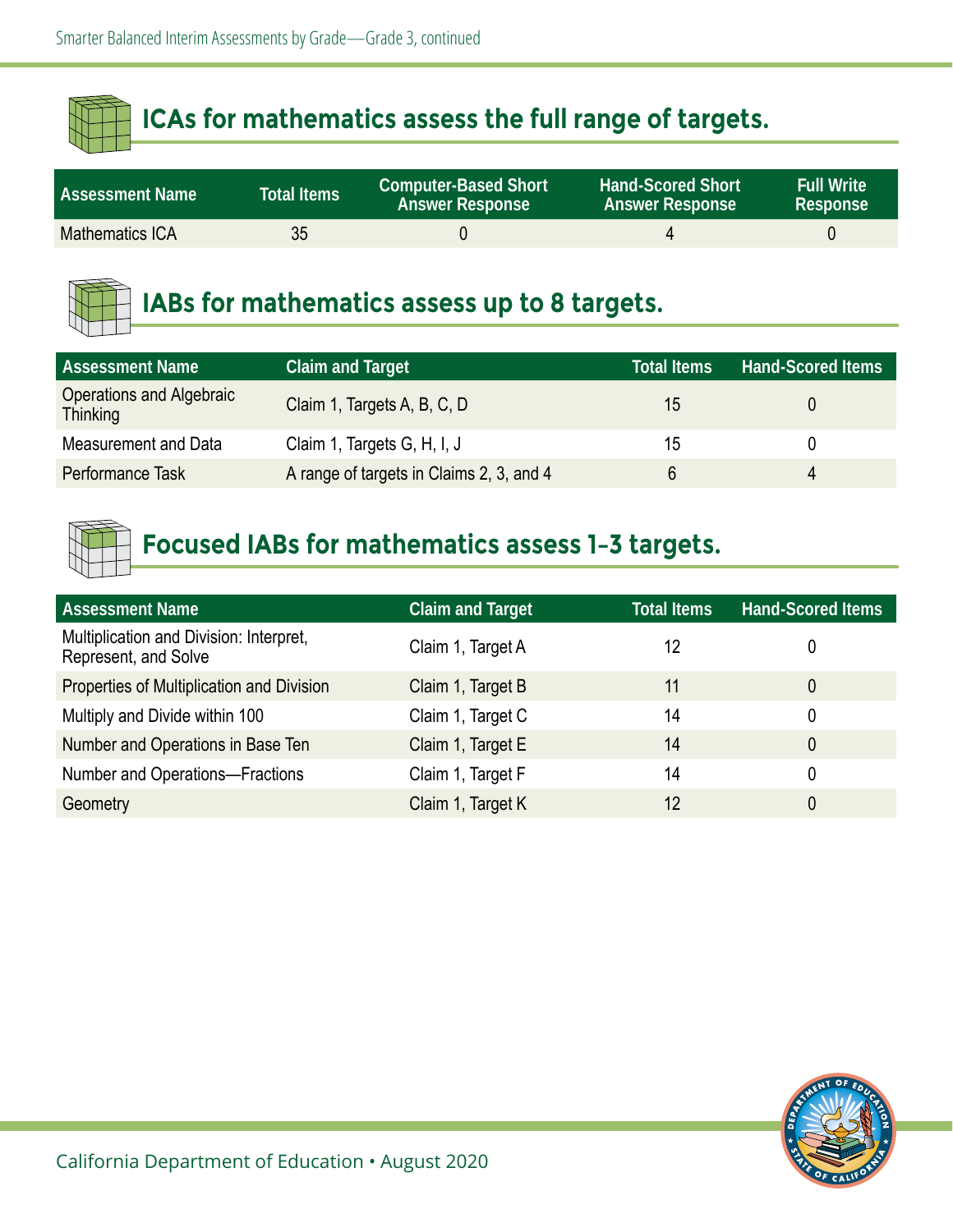| <b>Assessment Name</b> | Total Items | <b>Computer-Based Short</b><br><b>Answer Response</b> | <b>Hand-Scored Short</b><br><b>Answer Response</b> | <b>Full Write</b><br>Response |
|------------------------|-------------|-------------------------------------------------------|----------------------------------------------------|-------------------------------|
| <b>Mathematics ICA</b> | 35          |                                                       |                                                    |                               |



## **IABs for mathematics assess up to 8 targets.**

| <b>Assessment Name</b>                      | <b>Claim and Target</b>                  | <b>Total Items</b> | <b>Hand-Scored Items</b> |
|---------------------------------------------|------------------------------------------|--------------------|--------------------------|
| Operations and Algebraic<br><b>Thinking</b> | Claim 1, Targets A, B, C, D              | 15                 |                          |
| Measurement and Data                        | Claim 1, Targets G, H, I, J              | 15                 |                          |
| Performance Task                            | A range of targets in Claims 2, 3, and 4 |                    | $\Delta$                 |

| <b>Assessment Name</b>                                          | <b>Claim and Target</b> | <b>Total Items</b> | <b>Hand-Scored Items</b> |
|-----------------------------------------------------------------|-------------------------|--------------------|--------------------------|
| Multiplication and Division: Interpret,<br>Represent, and Solve | Claim 1, Target A       | 12                 | 0                        |
| Properties of Multiplication and Division                       | Claim 1, Target B       | 11                 | 0                        |
| Multiply and Divide within 100                                  | Claim 1, Target C       | 14                 | 0                        |
| Number and Operations in Base Ten                               | Claim 1, Target E       | 14                 | 0                        |
| <b>Number and Operations-Fractions</b>                          | Claim 1, Target F       | 14                 | 0                        |
| Geometry                                                        | Claim 1, Target K       | 12                 | 0                        |

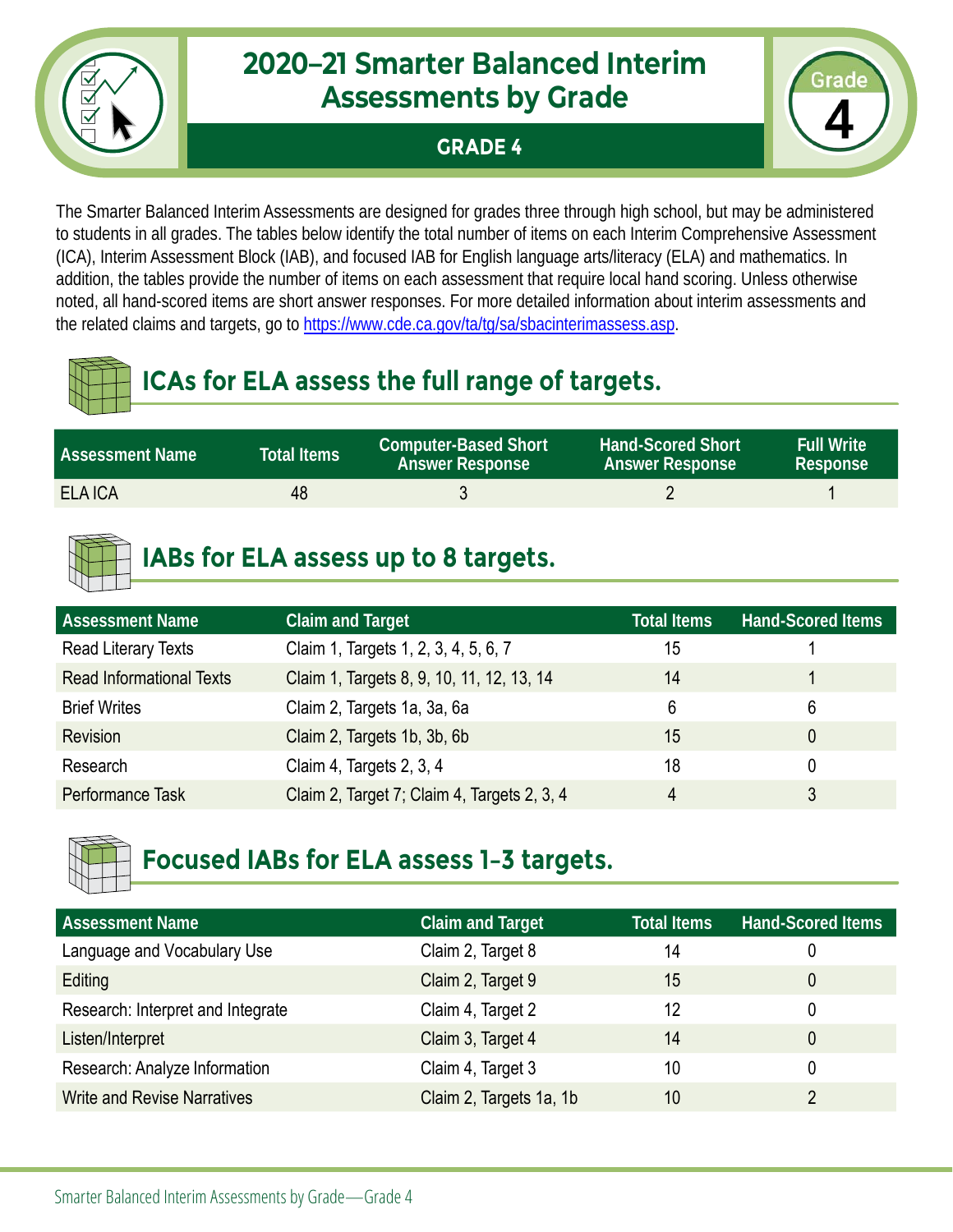

#### **GRADE 4**



The Smarter Balanced Interim Assessments are designed for grades three through high school, but may be administered to students in all grades. The tables below identify the total number of items on each Interim Comprehensive Assessment (ICA), Interim Assessment Block (IAB), and focused IAB for English language arts/literacy (ELA) and mathematics. In addition, the tables provide the number of items on each assessment that require local hand scoring. Unless otherwise noted, all hand-scored items are short answer responses. For more detailed information about interim assessments and the related claims and targets, go to [https://www.cde.ca.gov/ta/tg/sa/sbacinterimassess.asp.](https://www.cde.ca.gov/ta/tg/sa/sbacinterimassess.asp)

# **ICAs for ELA assess the full range of targets.**

| <b>Assessment Name</b> | <b>Total Items</b> | <b>Computer-Based Short</b><br><b>Answer Response</b> | <b>Hand-Scored Short</b><br><b>Answer Response</b> | <b>Full Write</b><br>Response |
|------------------------|--------------------|-------------------------------------------------------|----------------------------------------------------|-------------------------------|
| <b>ELA ICA</b>         | 48                 |                                                       |                                                    |                               |

# **IABs for ELA assess up to 8 targets.**

| <b>Assessment Name</b>          | <b>Claim and Target</b>                     | Total Items | <b>Hand-Scored Items</b> |
|---------------------------------|---------------------------------------------|-------------|--------------------------|
| Read Literary Texts             | Claim 1, Targets 1, 2, 3, 4, 5, 6, 7        | 15          |                          |
| <b>Read Informational Texts</b> | Claim 1, Targets 8, 9, 10, 11, 12, 13, 14   | 14          |                          |
| <b>Brief Writes</b>             | Claim 2, Targets 1a, 3a, 6a                 | 6           | 6                        |
| Revision                        | Claim 2, Targets 1b, 3b, 6b                 | 15          |                          |
| Research                        | Claim 4, Targets 2, 3, 4                    | 18          |                          |
| Performance Task                | Claim 2, Target 7; Claim 4, Targets 2, 3, 4 | 4           |                          |



| <b>Assessment Name</b>             | <b>Claim and Target</b> | <b>Total Items</b> | <b>Hand-Scored Items</b> |
|------------------------------------|-------------------------|--------------------|--------------------------|
| Language and Vocabulary Use        | Claim 2, Target 8       | 14                 | 0                        |
| Editing                            | Claim 2, Target 9       | 15                 | 0                        |
| Research: Interpret and Integrate  | Claim 4, Target 2       | 12                 | 0                        |
| Listen/Interpret                   | Claim 3, Target 4       | 14                 | 0                        |
| Research: Analyze Information      | Claim 4, Target 3       | 10                 | 0                        |
| <b>Write and Revise Narratives</b> | Claim 2, Targets 1a, 1b | 10                 |                          |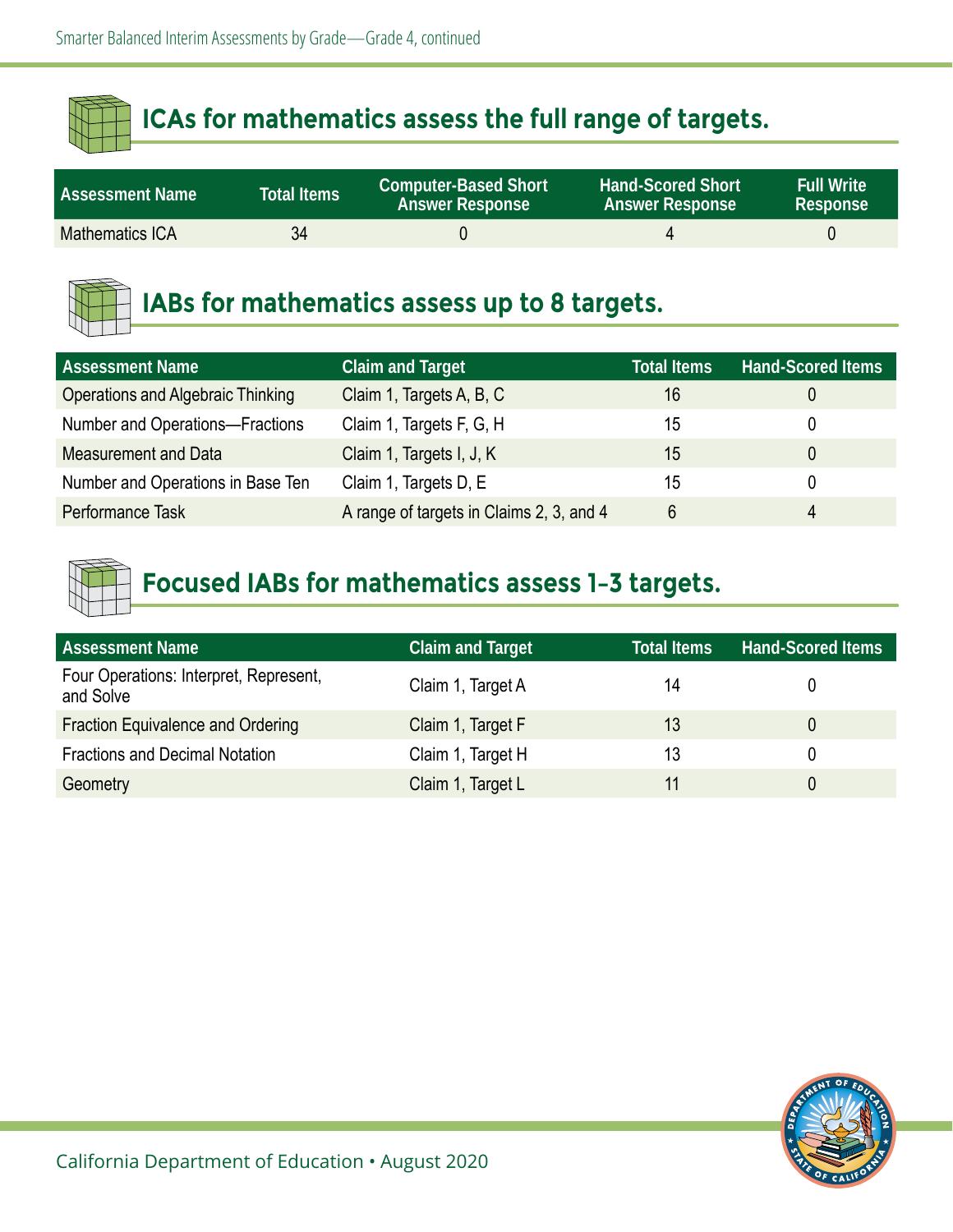| <b>Assessment Name \</b> | <b>Total Items</b> | <b>Computer-Based Short</b><br><b>Answer Response</b> | <b>Hand-Scored Short</b><br><b>Answer Response</b> | <b>Full Write</b><br>Response |
|--------------------------|--------------------|-------------------------------------------------------|----------------------------------------------------|-------------------------------|
| Mathematics ICA          | 34                 |                                                       |                                                    |                               |



#### **IABs for mathematics assess up to 8 targets.**

| <b>Assessment Name</b>                   | <b>Claim and Target</b>                  | <b>Total Items</b> | <b>Hand-Scored Items</b> |
|------------------------------------------|------------------------------------------|--------------------|--------------------------|
| <b>Operations and Algebraic Thinking</b> | Claim 1, Targets A, B, C                 | 16                 |                          |
| Number and Operations-Fractions          | Claim 1, Targets F, G, H                 | 15                 |                          |
| <b>Measurement and Data</b>              | Claim 1, Targets I, J, K                 | 15                 |                          |
| Number and Operations in Base Ten        | Claim 1, Targets D, E                    | 15                 |                          |
| Performance Task                         | A range of targets in Claims 2, 3, and 4 | 6                  | 4                        |



| <b>Assessment Name</b>                              | <b>Claim and Target</b> | <b>Total Items</b> | <b>Hand-Scored Items</b> |
|-----------------------------------------------------|-------------------------|--------------------|--------------------------|
| Four Operations: Interpret, Represent,<br>and Solve | Claim 1, Target A       | 14                 |                          |
| <b>Fraction Equivalence and Ordering</b>            | Claim 1, Target F       | 13                 |                          |
| <b>Fractions and Decimal Notation</b>               | Claim 1, Target H       | 13                 |                          |
| Geometry                                            | Claim 1, Target L       |                    |                          |

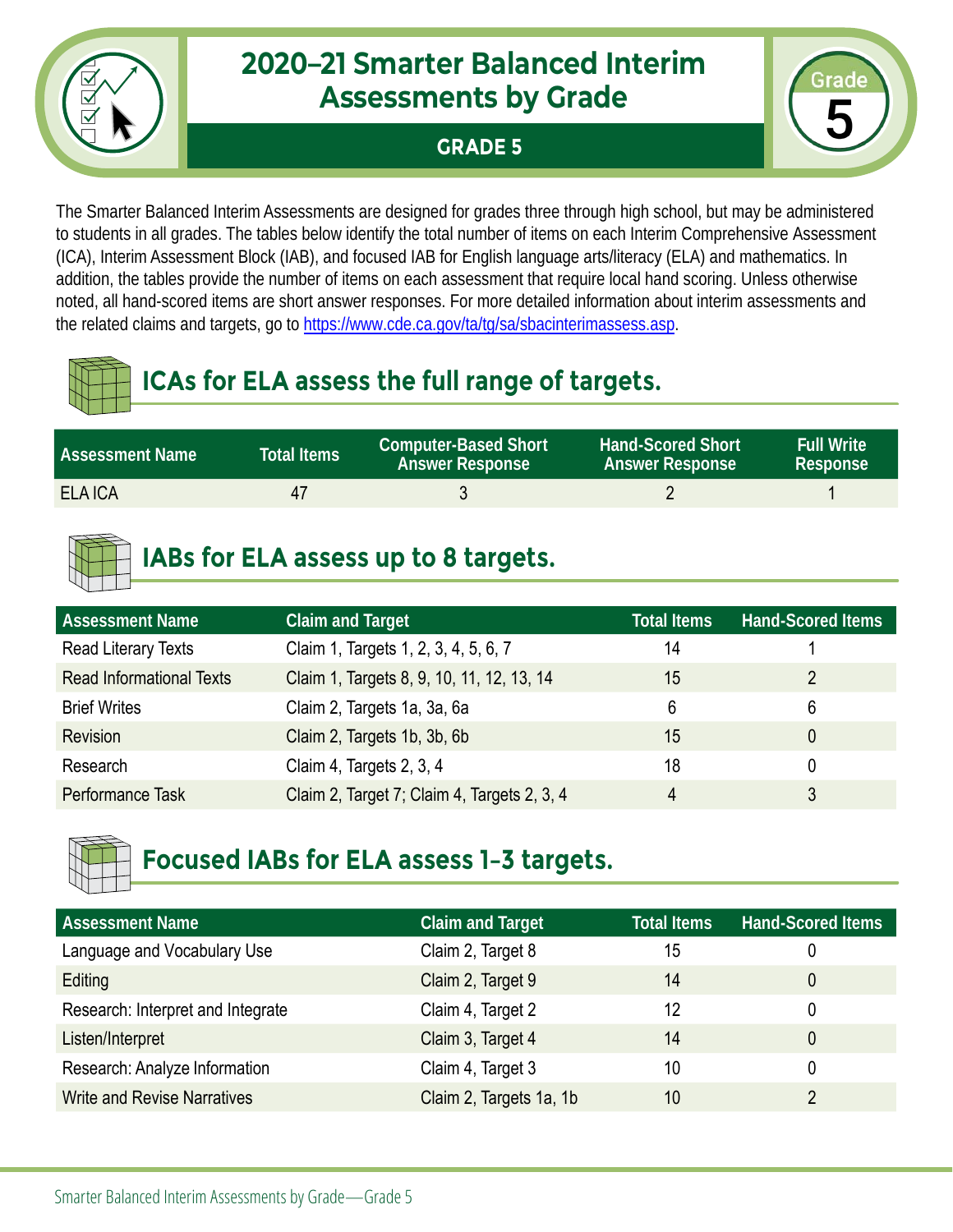#### **GRADE 5**



The Smarter Balanced Interim Assessments are designed for grades three through high school, but may be administered to students in all grades. The tables below identify the total number of items on each Interim Comprehensive Assessment (ICA), Interim Assessment Block (IAB), and focused IAB for English language arts/literacy (ELA) and mathematics. In addition, the tables provide the number of items on each assessment that require local hand scoring. Unless otherwise noted, all hand-scored items are short answer responses. For more detailed information about interim assessments and the related claims and targets, go to [https://www.cde.ca.gov/ta/tg/sa/sbacinterimassess.asp.](https://www.cde.ca.gov/ta/tg/sa/sbacinterimassess.asp)

# **ICAs for ELA assess the full range of targets.**

| <b>Assessment Name</b> | <b>Total Items</b> | <b>Computer-Based Short</b><br><b>Answer Response</b> | <b>Hand-Scored Short</b><br><b>Answer Response</b> | <b>Full Write</b><br>Response |
|------------------------|--------------------|-------------------------------------------------------|----------------------------------------------------|-------------------------------|
| <b>ELA ICA</b>         | Δ1                 |                                                       |                                                    |                               |

# **IABs for ELA assess up to 8 targets.**

| <b>Assessment Name</b>          | <b>Claim and Target</b>                     | <b>Total Items</b> | <b>Hand-Scored Items</b> |
|---------------------------------|---------------------------------------------|--------------------|--------------------------|
| Read Literary Texts             | Claim 1, Targets 1, 2, 3, 4, 5, 6, 7        | 14                 |                          |
| <b>Read Informational Texts</b> | Claim 1, Targets 8, 9, 10, 11, 12, 13, 14   | 15                 | 2                        |
| <b>Brief Writes</b>             | Claim 2, Targets 1a, 3a, 6a                 | 6                  | 6                        |
| Revision                        | Claim 2, Targets 1b, 3b, 6b                 | 15                 |                          |
| Research                        | Claim 4, Targets 2, 3, 4                    | 18                 |                          |
| Performance Task                | Claim 2, Target 7; Claim 4, Targets 2, 3, 4 | 4                  |                          |



| <b>Assessment Name</b>             | <b>Claim and Target</b> | <b>Total Items</b> | <b>Hand-Scored Items</b> |
|------------------------------------|-------------------------|--------------------|--------------------------|
| Language and Vocabulary Use        | Claim 2, Target 8       | 15                 | 0                        |
| Editing                            | Claim 2, Target 9       | 14                 | 0                        |
| Research: Interpret and Integrate  | Claim 4, Target 2       | 12                 | 0                        |
| Listen/Interpret                   | Claim 3, Target 4       | 14                 | 0                        |
| Research: Analyze Information      | Claim 4, Target 3       | 10                 | 0                        |
| <b>Write and Revise Narratives</b> | Claim 2, Targets 1a, 1b | 10                 |                          |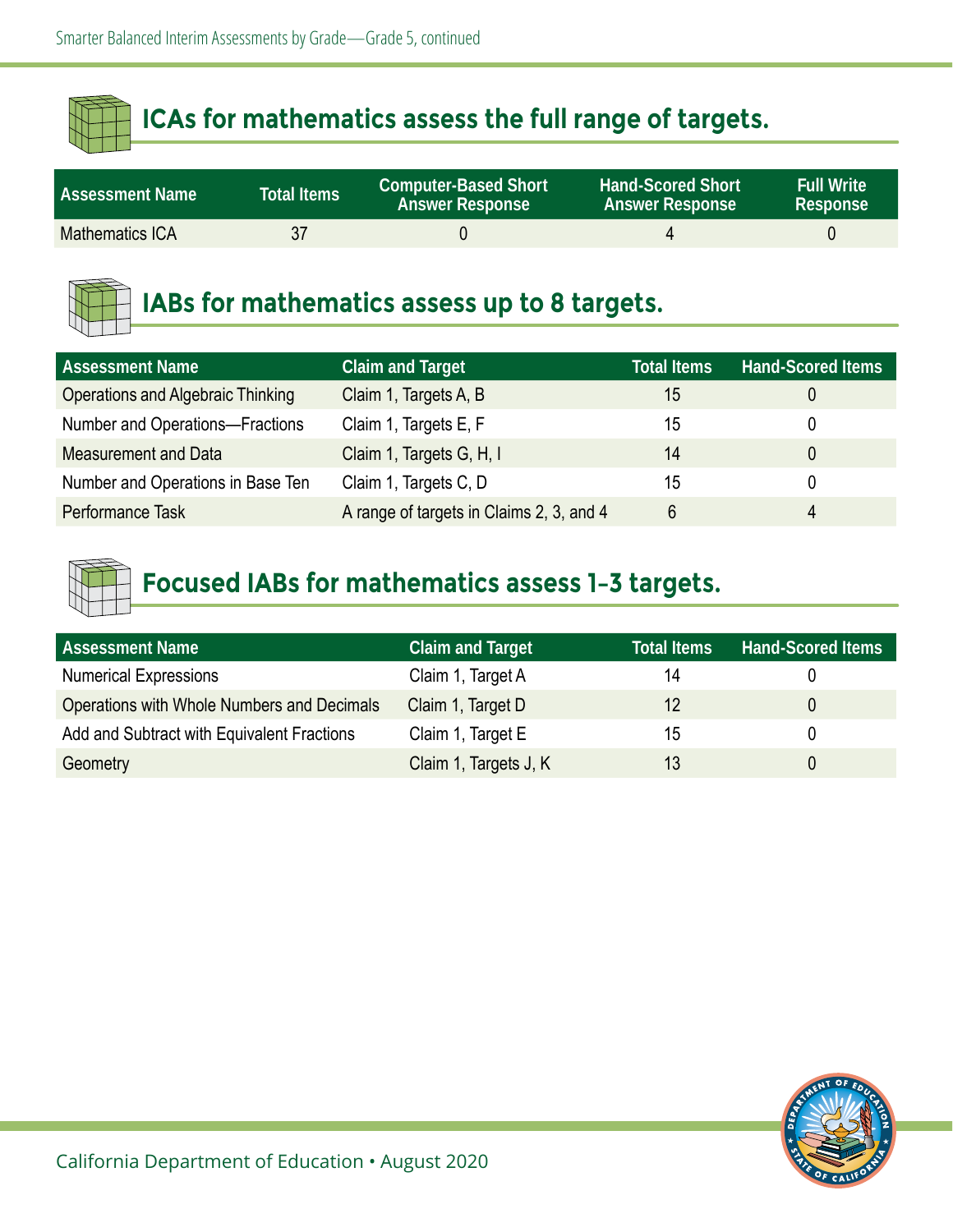| <b>Assessment Name</b> | Total Items | <b>Computer-Based Short</b><br><b>Answer Response</b> | <b>Hand-Scored Short</b><br><b>Answer Response</b> | <b>Full Write</b><br>Response |
|------------------------|-------------|-------------------------------------------------------|----------------------------------------------------|-------------------------------|
| Mathematics ICA        | 37          |                                                       |                                                    |                               |



#### **IABs for mathematics assess up to 8 targets.**

| <b>Assessment Name</b>                   | <b>Claim and Target</b>                  | <b>Total Items</b> | <b>Hand-Scored Items</b> |
|------------------------------------------|------------------------------------------|--------------------|--------------------------|
| <b>Operations and Algebraic Thinking</b> | Claim 1, Targets A, B                    | 15                 |                          |
| Number and Operations-Fractions          | Claim 1, Targets E, F                    | 15                 |                          |
| <b>Measurement and Data</b>              | Claim 1, Targets G, H, I                 | 14                 |                          |
| Number and Operations in Base Ten        | Claim 1, Targets C, D                    | 15                 |                          |
| Performance Task                         | A range of targets in Claims 2, 3, and 4 | 6                  | 4                        |



| <b>Assessment Name</b>                     | <b>Claim and Target</b> | <b>Total Items</b> | <b>Hand-Scored Items</b> |
|--------------------------------------------|-------------------------|--------------------|--------------------------|
| <b>Numerical Expressions</b>               | Claim 1, Target A       | 14                 |                          |
| Operations with Whole Numbers and Decimals | Claim 1, Target D       | 12                 | 0                        |
| Add and Subtract with Equivalent Fractions | Claim 1, Target E       | 15                 |                          |
| Geometry                                   | Claim 1, Targets J, K   | 13                 |                          |

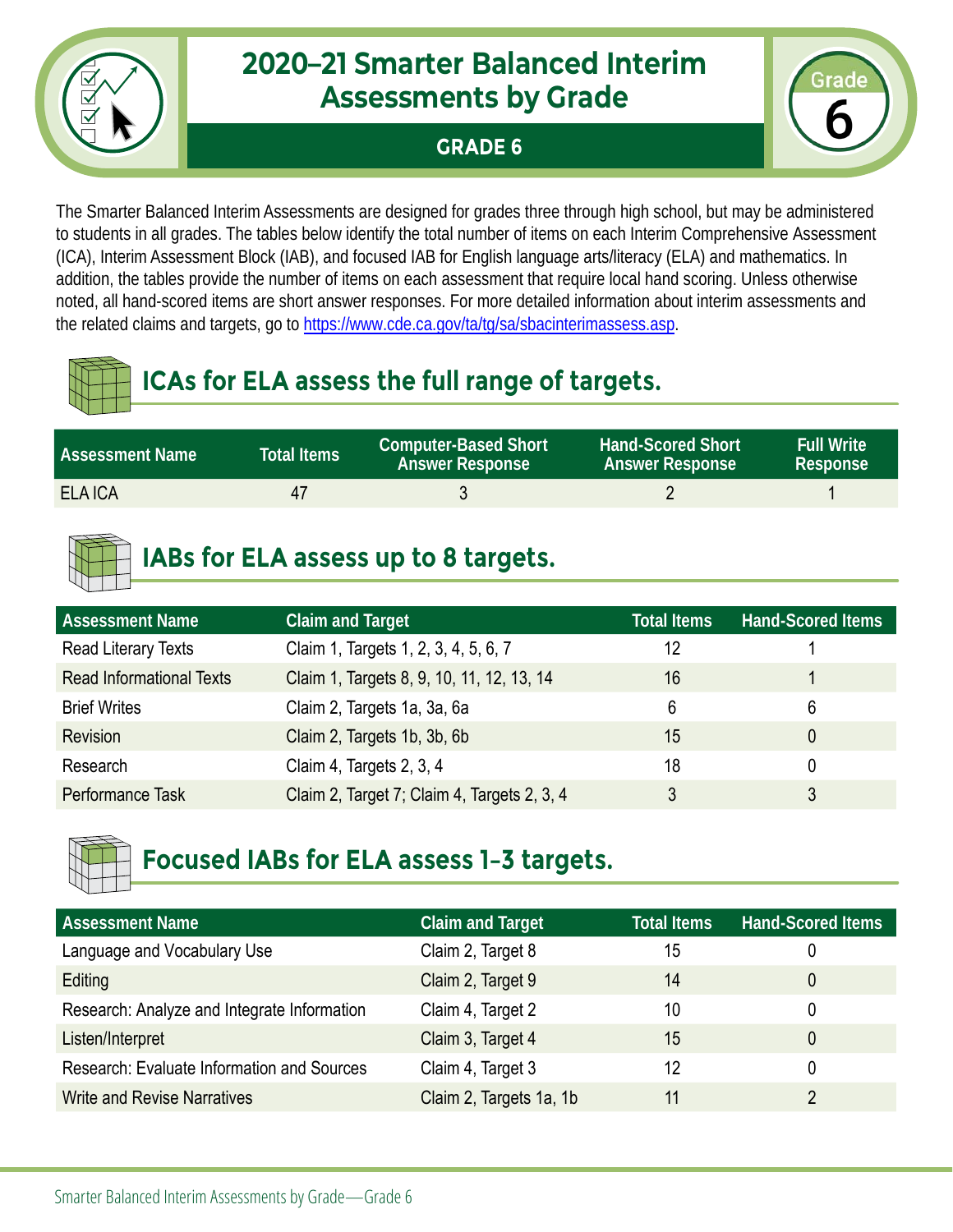

#### **GRADE 6**



The Smarter Balanced Interim Assessments are designed for grades three through high school, but may be administered to students in all grades. The tables below identify the total number of items on each Interim Comprehensive Assessment (ICA), Interim Assessment Block (IAB), and focused IAB for English language arts/literacy (ELA) and mathematics. In addition, the tables provide the number of items on each assessment that require local hand scoring. Unless otherwise noted, all hand-scored items are short answer responses. For more detailed information about interim assessments and the related claims and targets, go to [https://www.cde.ca.gov/ta/tg/sa/sbacinterimassess.asp.](https://www.cde.ca.gov/ta/tg/sa/sbacinterimassess.asp)

# **ICAs for ELA assess the full range of targets.**

| <b>Assessment Name</b> | <b>Total Items</b> | <b>Computer-Based Short</b><br><b>Answer Response</b> | <b>Hand-Scored Short</b><br><b>Answer Response</b> | <b>Full Write</b><br>Response |
|------------------------|--------------------|-------------------------------------------------------|----------------------------------------------------|-------------------------------|
| <b>ELA ICA</b>         | 47                 |                                                       |                                                    |                               |

# **IABs for ELA assess up to 8 targets.**

| <b>Assessment Name</b>          | <b>Claim and Target</b>                     | <b>Total Items</b> | <b>Hand-Scored Items</b> |
|---------------------------------|---------------------------------------------|--------------------|--------------------------|
| Read Literary Texts             | Claim 1, Targets 1, 2, 3, 4, 5, 6, 7        | 12                 |                          |
| <b>Read Informational Texts</b> | Claim 1, Targets 8, 9, 10, 11, 12, 13, 14   | 16                 |                          |
| <b>Brief Writes</b>             | Claim 2, Targets 1a, 3a, 6a                 | 6                  | 6                        |
| Revision                        | Claim 2, Targets 1b, 3b, 6b                 | 15                 |                          |
| Research                        | Claim 4, Targets 2, 3, 4                    | 18                 |                          |
| Performance Task                | Claim 2, Target 7; Claim 4, Targets 2, 3, 4 | 3                  |                          |



| <b>Assessment Name</b>                            | <b>Claim and Target</b> | <b>Total Items</b> | <b>Hand-Scored Items</b> |
|---------------------------------------------------|-------------------------|--------------------|--------------------------|
| Language and Vocabulary Use                       | Claim 2, Target 8       | 15                 | 0                        |
| Editing                                           | Claim 2, Target 9       | 14                 | 0                        |
| Research: Analyze and Integrate Information       | Claim 4, Target 2       | 10                 | 0                        |
| Listen/Interpret                                  | Claim 3, Target 4       | 15                 | 0                        |
| <b>Research: Evaluate Information and Sources</b> | Claim 4, Target 3       | 12                 | 0                        |
| <b>Write and Revise Narratives</b>                | Claim 2, Targets 1a, 1b | 11                 |                          |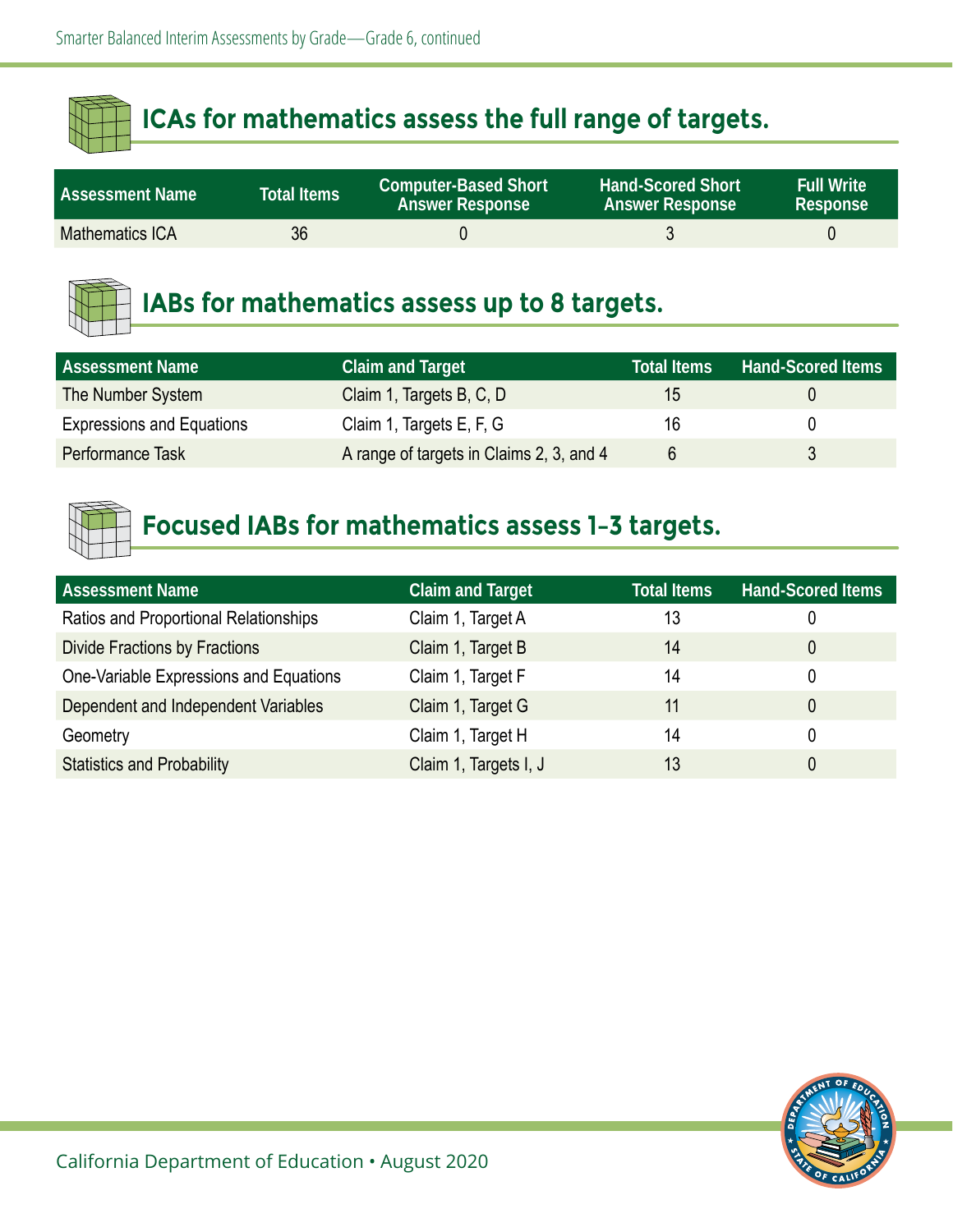| <b>Assessment Name</b> | Total Items | <b>Computer-Based Short</b><br><b>Answer Response</b> | <b>Hand-Scored Short</b><br><b>Answer Response</b> | <b>Full Write</b><br>Response |
|------------------------|-------------|-------------------------------------------------------|----------------------------------------------------|-------------------------------|
| <b>Mathematics ICA</b> | 36          |                                                       |                                                    |                               |



## **IABs for mathematics assess up to 8 targets.**

| <b>Assessment Name</b>           | <b>Claim and Target</b>                  | <b>Total Items</b> | <b>Hand-Scored Items</b> |
|----------------------------------|------------------------------------------|--------------------|--------------------------|
| The Number System                | Claim 1, Targets B, C, D                 | 15                 |                          |
| <b>Expressions and Equations</b> | Claim 1, Targets E, F, G                 | 16                 |                          |
| Performance Task                 | A range of targets in Claims 2, 3, and 4 |                    |                          |



| <b>Assessment Name</b>                 | <b>Claim and Target</b> | <b>Total Items</b> | <b>Hand-Scored Items</b> |
|----------------------------------------|-------------------------|--------------------|--------------------------|
| Ratios and Proportional Relationships  | Claim 1, Target A       | 13                 | 0                        |
| <b>Divide Fractions by Fractions</b>   | Claim 1, Target B       | 14                 | 0                        |
| One-Variable Expressions and Equations | Claim 1, Target F       | 14                 | 0                        |
| Dependent and Independent Variables    | Claim 1, Target G       | 11                 | 0                        |
| Geometry                               | Claim 1, Target H       | 14                 | 0                        |
| <b>Statistics and Probability</b>      | Claim 1, Targets I, J   | 13                 | 0                        |

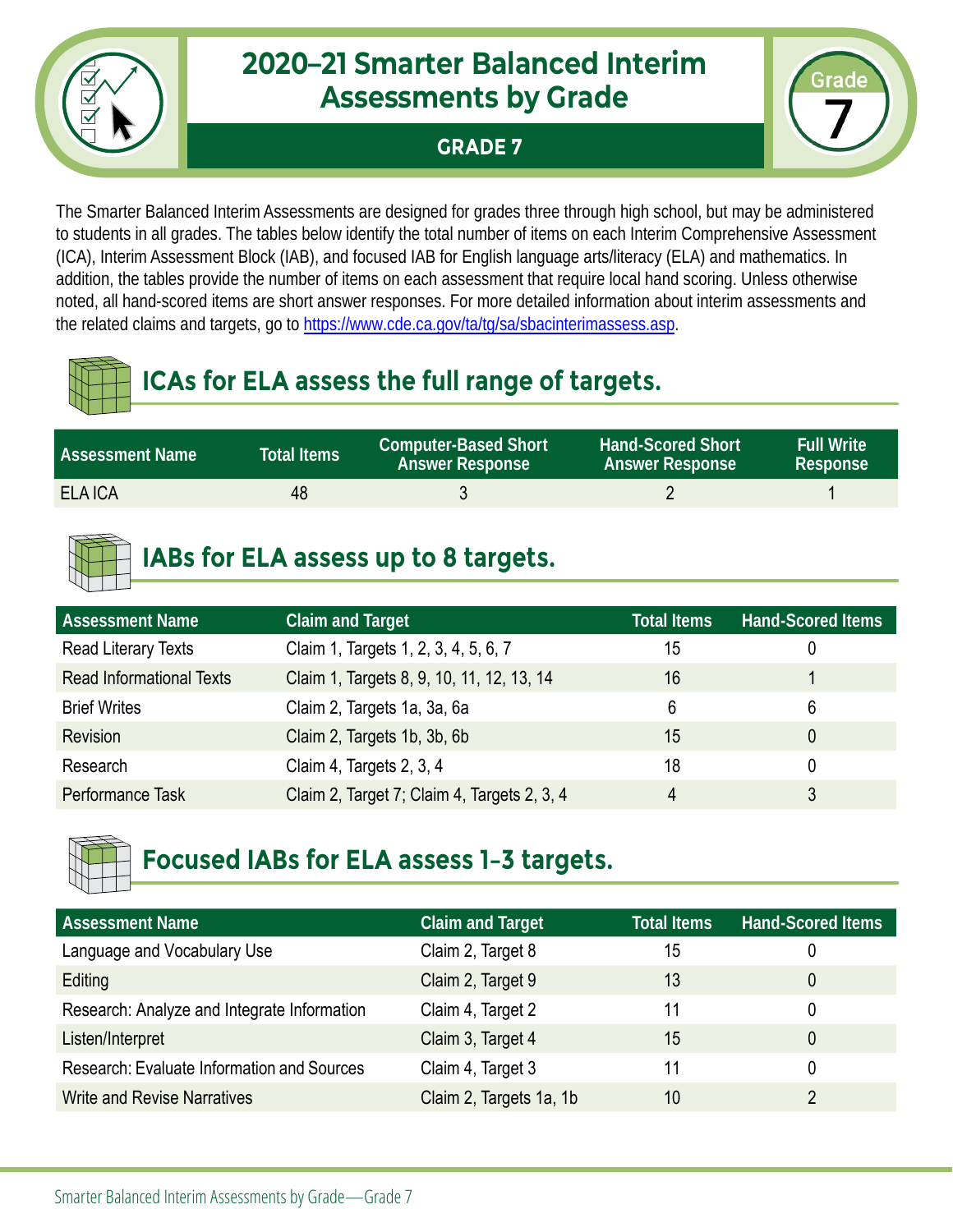

**GRADE 7**



The Smarter Balanced Interim Assessments are designed for grades three through high school, but may be administered to students in all grades. The tables below identify the total number of items on each Interim Comprehensive Assessment (ICA), Interim Assessment Block (IAB), and focused IAB for English language arts/literacy (ELA) and mathematics. In addition, the tables provide the number of items on each assessment that require local hand scoring. Unless otherwise noted, all hand-scored items are short answer responses. For more detailed information about interim assessments and the related claims and targets, go to [https://www.cde.ca.gov/ta/tg/sa/sbacinterimassess.asp.](https://www.cde.ca.gov/ta/tg/sa/sbacinterimassess.asp)

# **ICAs for ELA assess the full range of targets.**

| <b>Assessment Name</b> | Total Items <sup>1</sup> | <b>Computer-Based Short</b><br><b>Answer Response</b> | <b>Hand-Scored Short</b><br><b>Answer Response</b> | <b>Full Write</b><br>Response |
|------------------------|--------------------------|-------------------------------------------------------|----------------------------------------------------|-------------------------------|
| <b>ELA ICA</b>         | 48                       |                                                       |                                                    |                               |

# **IABs for ELA assess up to 8 targets.**

| <b>Assessment Name</b>          | <b>Claim and Target</b>                     | <b>Total Items</b> | <b>Hand-Scored Items</b> |
|---------------------------------|---------------------------------------------|--------------------|--------------------------|
| Read Literary Texts             | Claim 1, Targets 1, 2, 3, 4, 5, 6, 7        | 15                 |                          |
| <b>Read Informational Texts</b> | Claim 1, Targets 8, 9, 10, 11, 12, 13, 14   | 16                 |                          |
| <b>Brief Writes</b>             | Claim 2, Targets 1a, 3a, 6a                 | 6                  | 6                        |
| <b>Revision</b>                 | Claim 2, Targets 1b, 3b, 6b                 | 15                 |                          |
| Research                        | Claim 4, Targets 2, 3, 4                    | 18                 |                          |
| Performance Task                | Claim 2, Target 7; Claim 4, Targets 2, 3, 4 | 4                  |                          |



| <b>Assessment Name</b>                            | <b>Claim and Target</b> | <b>Total Items</b> | <b>Hand-Scored Items</b> |
|---------------------------------------------------|-------------------------|--------------------|--------------------------|
| Language and Vocabulary Use                       | Claim 2, Target 8       | 15                 | 0                        |
| Editing                                           | Claim 2, Target 9       | 13                 | 0                        |
| Research: Analyze and Integrate Information       | Claim 4, Target 2       | 11                 | 0                        |
| Listen/Interpret                                  | Claim 3, Target 4       | 15                 | 0                        |
| <b>Research: Evaluate Information and Sources</b> | Claim 4, Target 3       | 11                 | 0                        |
| <b>Write and Revise Narratives</b>                | Claim 2, Targets 1a, 1b | 10                 |                          |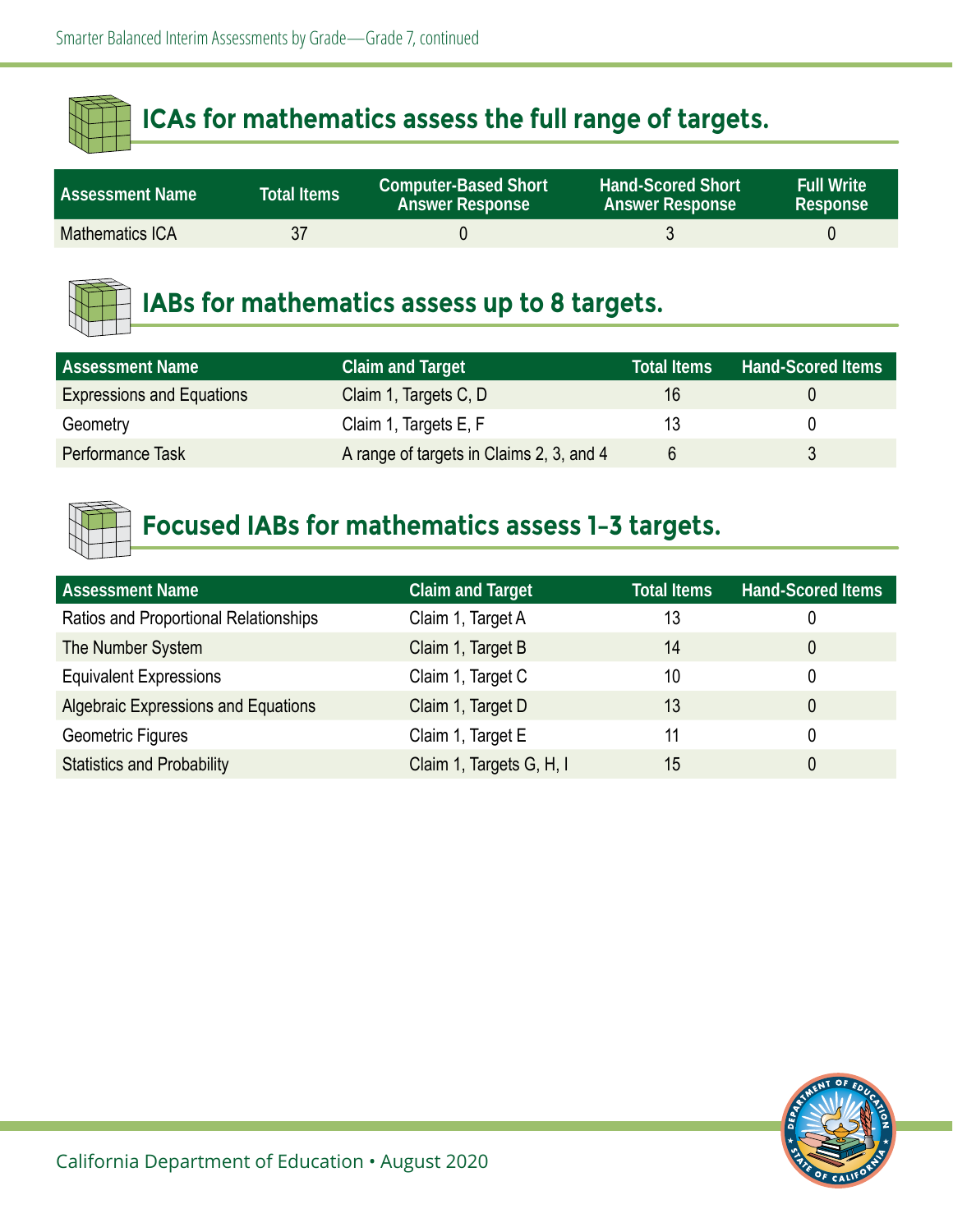| <b>Assessment Name</b> | <b>Total Items</b> | <b>Computer-Based Short</b><br><b>Answer Response</b> | <b>Hand-Scored Short</b><br><b>Answer Response</b> | <b>Full Write</b><br><b>Response</b> |
|------------------------|--------------------|-------------------------------------------------------|----------------------------------------------------|--------------------------------------|
| Mathematics ICA        | 37                 |                                                       |                                                    |                                      |



#### **IABs for mathematics assess up to 8 targets.**

| <b>Assessment Name</b>           | <b>Claim and Target</b>                  | <b>Total Items</b> | <b>Hand-Scored Items</b> |
|----------------------------------|------------------------------------------|--------------------|--------------------------|
| <b>Expressions and Equations</b> | Claim 1, Targets C, D                    | 16                 |                          |
| Geometry                         | Claim 1, Targets E, F                    |                    |                          |
| Performance Task                 | A range of targets in Claims 2, 3, and 4 |                    |                          |



| <b>Assessment Name</b>                     | <b>Claim and Target</b>  | <b>Total Items</b> | <b>Hand-Scored Items</b> |
|--------------------------------------------|--------------------------|--------------------|--------------------------|
| Ratios and Proportional Relationships      | Claim 1, Target A        | 13                 | 0                        |
| The Number System                          | Claim 1, Target B        | 14                 | 0                        |
| <b>Equivalent Expressions</b>              | Claim 1, Target C        | 10                 | 0                        |
| <b>Algebraic Expressions and Equations</b> | Claim 1, Target D        | 13                 | 0                        |
| Geometric Figures                          | Claim 1, Target E        | 11                 | 0                        |
| <b>Statistics and Probability</b>          | Claim 1, Targets G, H, I | 15                 | 0                        |

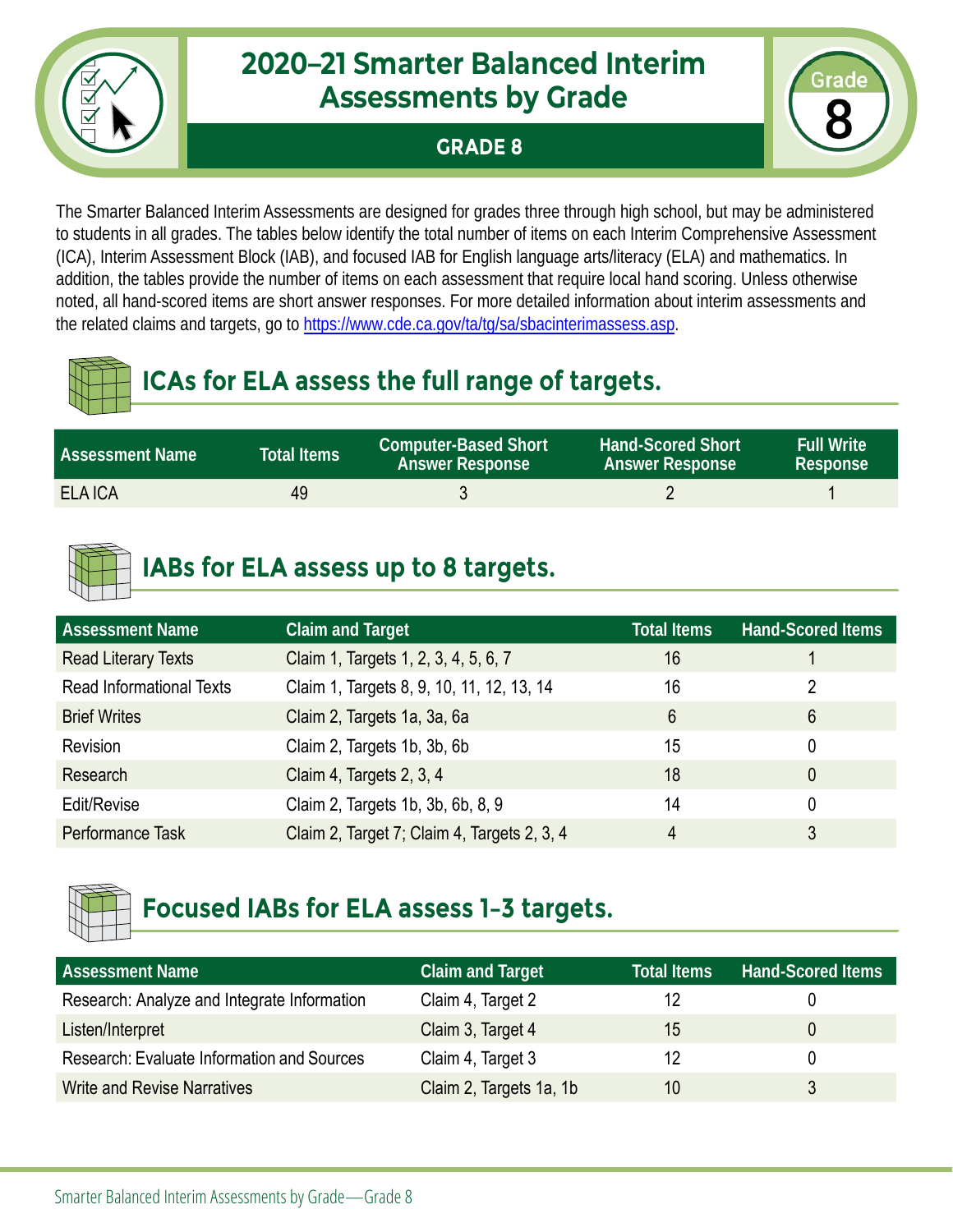#### **GRADE 8**



The Smarter Balanced Interim Assessments are designed for grades three through high school, but may be administered to students in all grades. The tables below identify the total number of items on each Interim Comprehensive Assessment (ICA), Interim Assessment Block (IAB), and focused IAB for English language arts/literacy (ELA) and mathematics. In addition, the tables provide the number of items on each assessment that require local hand scoring. Unless otherwise noted, all hand-scored items are short answer responses. For more detailed information about interim assessments and the related claims and targets, go to [https://www.cde.ca.gov/ta/tg/sa/sbacinterimassess.asp.](https://www.cde.ca.gov/ta/tg/sa/sbacinterimassess.asp)

# **ICAs for ELA assess the full range of targets.**

| <b>Assessment Name</b> | Total Items <sup>1</sup> | <b>Computer-Based Short</b><br><b>Answer Response</b> | <b>Hand-Scored Short</b><br><b>Answer Response</b> | <b>Full Write</b><br>Response |
|------------------------|--------------------------|-------------------------------------------------------|----------------------------------------------------|-------------------------------|
| <b>ELA ICA</b>         | 49                       |                                                       |                                                    |                               |

# **IABs for ELA assess up to 8 targets.**

| <b>Assessment Name</b>          | <b>Claim and Target</b>                     | <b>Total Items</b> | <b>Hand-Scored Items</b> |
|---------------------------------|---------------------------------------------|--------------------|--------------------------|
| <b>Read Literary Texts</b>      | Claim 1, Targets 1, 2, 3, 4, 5, 6, 7        | 16                 |                          |
| <b>Read Informational Texts</b> | Claim 1, Targets 8, 9, 10, 11, 12, 13, 14   | 16                 | 2                        |
| <b>Brief Writes</b>             | Claim 2, Targets 1a, 3a, 6a                 | 6                  | 6                        |
| Revision                        | Claim 2, Targets 1b, 3b, 6b                 | 15                 |                          |
| Research                        | Claim 4, Targets 2, 3, 4                    | 18                 | 0                        |
| Edit/Revise                     | Claim 2, Targets 1b, 3b, 6b, 8, 9           | 14                 |                          |
| Performance Task                | Claim 2, Target 7; Claim 4, Targets 2, 3, 4 | 4                  | 3                        |



| <b>Assessment Name</b>                            | <b>Claim and Target</b> | <b>Total Items</b> | <b>Hand-Scored Items</b> |
|---------------------------------------------------|-------------------------|--------------------|--------------------------|
| Research: Analyze and Integrate Information       | Claim 4, Target 2       | 12                 |                          |
| Listen/Interpret                                  | Claim 3, Target 4       | 15                 |                          |
| <b>Research: Evaluate Information and Sources</b> | Claim 4, Target 3       | 12                 |                          |
| <b>Write and Revise Narratives</b>                | Claim 2, Targets 1a, 1b | 10                 |                          |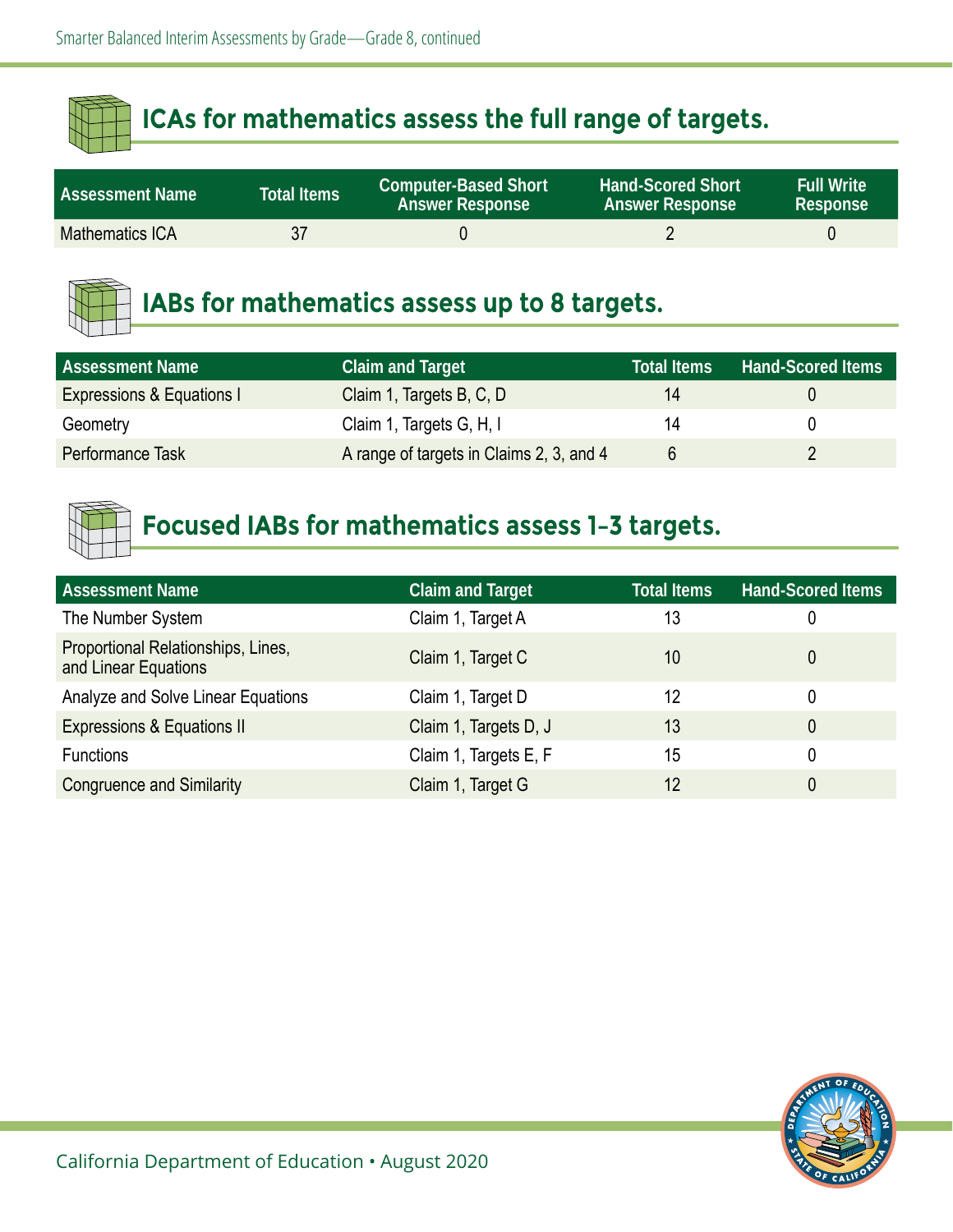| <b>Assessment Name</b> | Total Items | <b>Computer-Based Short</b><br><b>Answer Response</b> | <b>Hand-Scored Short</b><br><b>Answer Response</b> | <b>Full Write</b><br>Response |
|------------------------|-------------|-------------------------------------------------------|----------------------------------------------------|-------------------------------|
| <b>Mathematics ICA</b> | 37          |                                                       |                                                    |                               |



### **IABs for mathematics assess up to 8 targets.**

| <b>Assessment Name</b>    | <b>Claim and Target</b>                  | <b>Total Items</b> | <b>Hand-Scored Items</b> |
|---------------------------|------------------------------------------|--------------------|--------------------------|
| Expressions & Equations I | Claim 1, Targets B, C, D                 | 14                 |                          |
| Geometry                  | Claim 1, Targets G, H, I                 | 14                 |                          |
| Performance Task          | A range of targets in Claims 2, 3, and 4 |                    |                          |



| <b>Assessment Name</b>                                     | <b>Claim and Target</b> | <b>Total Items</b> | <b>Hand-Scored Items</b> |
|------------------------------------------------------------|-------------------------|--------------------|--------------------------|
| The Number System                                          | Claim 1, Target A       | 13                 |                          |
| Proportional Relationships, Lines,<br>and Linear Equations | Claim 1, Target C       | 10                 |                          |
| Analyze and Solve Linear Equations                         | Claim 1, Target D       | 12                 |                          |
| <b>Expressions &amp; Equations II</b>                      | Claim 1, Targets D, J   | 13                 |                          |
| <b>Functions</b>                                           | Claim 1, Targets E, F   | 15                 |                          |
| <b>Congruence and Similarity</b>                           | Claim 1, Target G       | 12                 |                          |

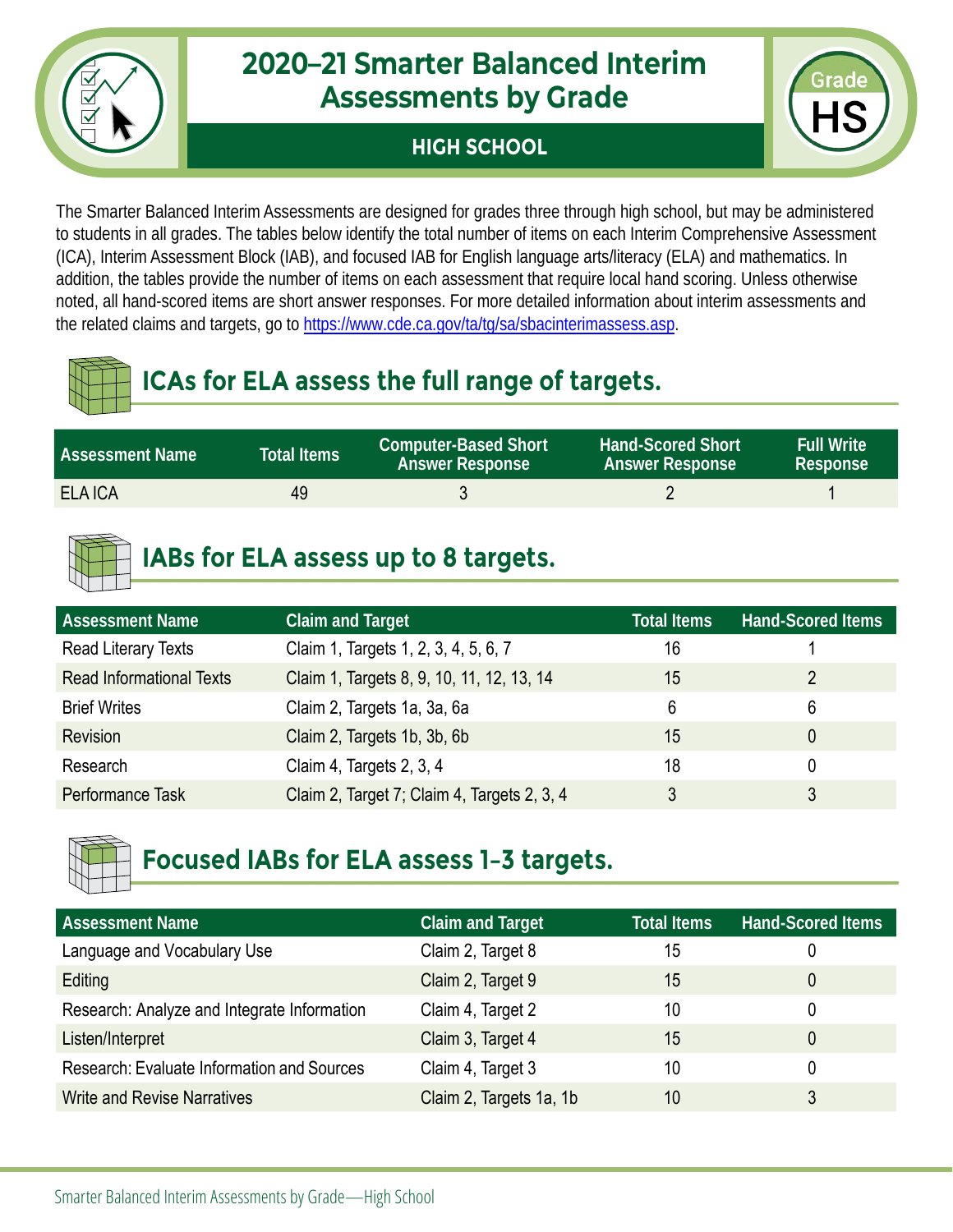

#### **HIGH SCHOOL**



The Smarter Balanced Interim Assessments are designed for grades three through high school, but may be administered to students in all grades. The tables below identify the total number of items on each Interim Comprehensive Assessment (ICA), Interim Assessment Block (IAB), and focused IAB for English language arts/literacy (ELA) and mathematics. In addition, the tables provide the number of items on each assessment that require local hand scoring. Unless otherwise noted, all hand-scored items are short answer responses. For more detailed information about interim assessments and the related claims and targets, go to [https://www.cde.ca.gov/ta/tg/sa/sbacinterimassess.asp.](https://www.cde.ca.gov/ta/tg/sa/sbacinterimassess.asp)

# **ICAs for ELA assess the full range of targets.**

| <b>Assessment Name</b> | <b>Total Items</b> | <b>Computer-Based Short</b><br><b>Answer Response</b> | <b>Hand-Scored Short</b><br><b>Answer Response</b> | <b>Full Write</b><br>Response |
|------------------------|--------------------|-------------------------------------------------------|----------------------------------------------------|-------------------------------|
| <b>ELA ICA</b>         | 49                 |                                                       |                                                    |                               |

# **IABs for ELA assess up to 8 targets.**

| <b>Assessment Name</b>          | <b>Claim and Target</b>                     | <b>Total Items</b> | <b>Hand-Scored Items</b> |
|---------------------------------|---------------------------------------------|--------------------|--------------------------|
| Read Literary Texts             | Claim 1, Targets 1, 2, 3, 4, 5, 6, 7        | 16                 |                          |
| <b>Read Informational Texts</b> | Claim 1, Targets 8, 9, 10, 11, 12, 13, 14   | 15                 | 2                        |
| <b>Brief Writes</b>             | Claim 2, Targets 1a, 3a, 6a                 | 6                  | 6                        |
| <b>Revision</b>                 | Claim 2, Targets 1b, 3b, 6b                 | 15                 |                          |
| Research                        | Claim 4, Targets 2, 3, 4                    | 18                 |                          |
| Performance Task                | Claim 2, Target 7; Claim 4, Targets 2, 3, 4 | 3                  |                          |



| <b>Assessment Name</b>                            | <b>Claim and Target</b> | <b>Total Items</b> | <b>Hand-Scored Items</b> |
|---------------------------------------------------|-------------------------|--------------------|--------------------------|
| Language and Vocabulary Use                       | Claim 2, Target 8       | 15                 | 0                        |
| Editing                                           | Claim 2, Target 9       | 15                 | 0                        |
| Research: Analyze and Integrate Information       | Claim 4, Target 2       | 10                 | 0                        |
| Listen/Interpret                                  | Claim 3, Target 4       | 15                 | 0                        |
| <b>Research: Evaluate Information and Sources</b> | Claim 4, Target 3       | 10                 | 0                        |
| <b>Write and Revise Narratives</b>                | Claim 2, Targets 1a, 1b | 10                 |                          |